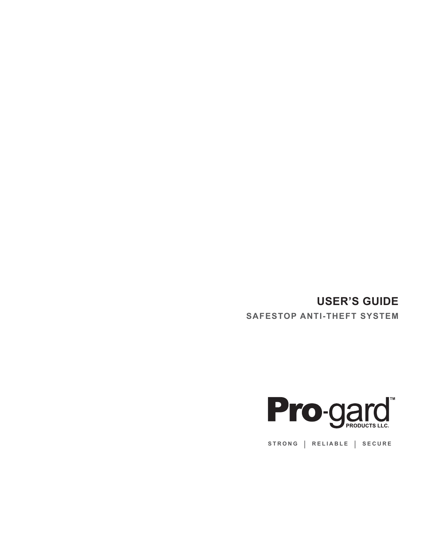## **USER'S GUIDE**

**SAFESTOP ANTI-THEFT SYSTEM**



**STRONG | RELIABLE | SECURE**